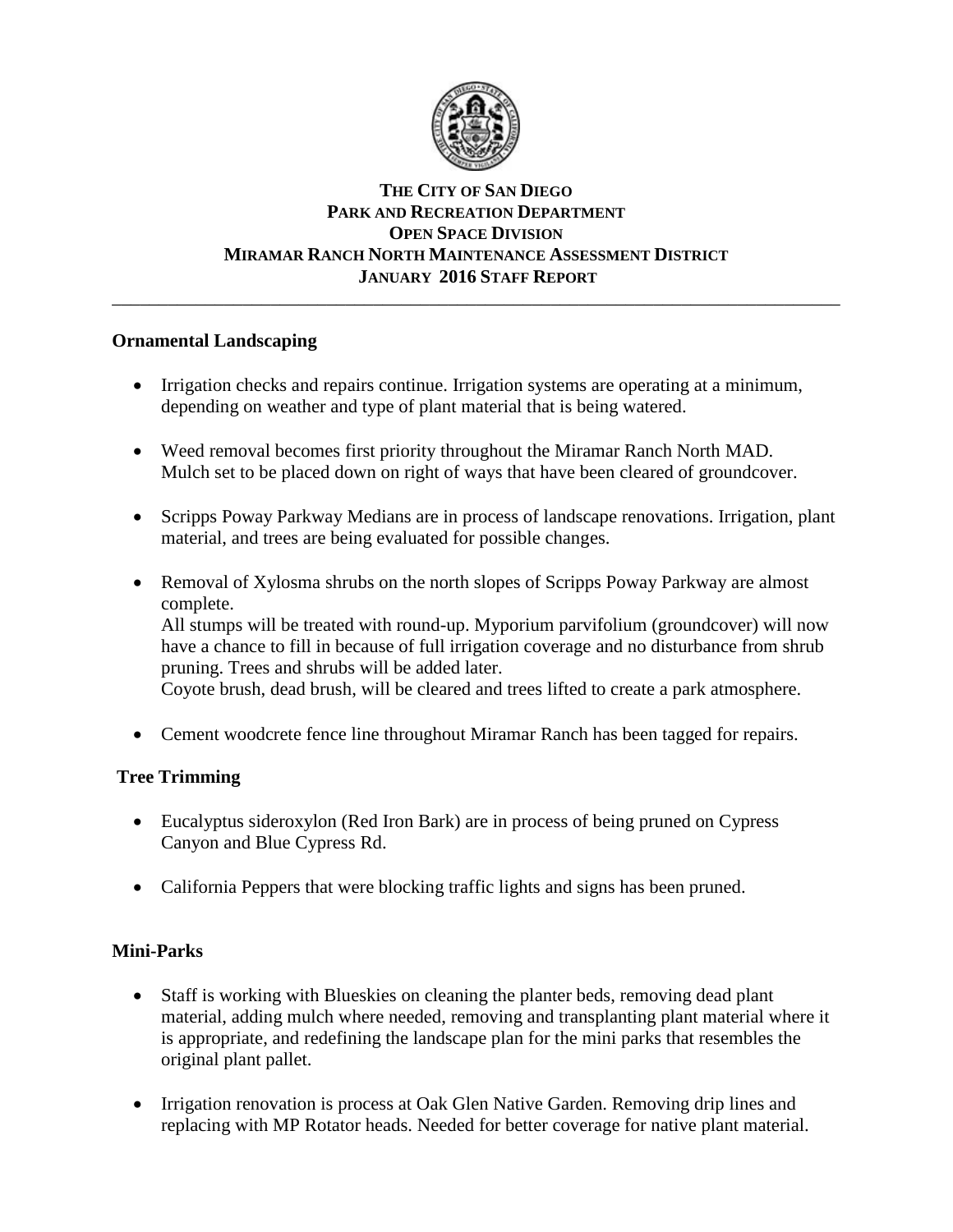

#### **THE CITY OF SAN DIEGO PARK AND RECREATION DEPARTMENT OPEN SPACE DIVISION MIRAMAR RANCH NORTH MAINTENANCE ASSESSMENT DISTRICT JANUARY 2016 STAFF REPORT** \_\_\_\_\_\_\_\_\_\_\_\_\_\_\_\_\_\_\_\_\_\_\_\_\_\_\_\_\_\_\_\_\_\_\_\_\_\_\_\_\_\_\_\_\_\_\_\_\_\_\_\_\_\_\_\_\_\_\_\_\_\_\_\_\_\_\_\_\_\_\_\_\_\_\_\_\_\_

## **Ornamental Landscaping**

- Irrigation checks and repairs continue. Irrigation systems are operating at a minimum, depending on weather and type of plant material that is being watered.
- Weed removal becomes first priority throughout the Miramar Ranch North MAD. Mulch set to be placed down on right of ways that have been cleared of groundcover.
- Scripps Poway Parkway Medians are in process of landscape renovations. Irrigation, plant material, and trees are being evaluated for possible changes.
- Removal of Xylosma shrubs on the north slopes of Scripps Poway Parkway are almost complete.

All stumps will be treated with round-up. Myporium parvifolium (groundcover) will now have a chance to fill in because of full irrigation coverage and no disturbance from shrub pruning. Trees and shrubs will be added later.

Coyote brush, dead brush, will be cleared and trees lifted to create a park atmosphere.

• Cement woodcrete fence line throughout Miramar Ranch has been tagged for repairs.

## **Tree Trimming**

- Eucalyptus sideroxylon (Red Iron Bark) are in process of being pruned on Cypress Canyon and Blue Cypress Rd.
- California Peppers that were blocking traffic lights and signs has been pruned.

# **Mini-Parks**

- Staff is working with Blueskies on cleaning the planter beds, removing dead plant material, adding mulch where needed, removing and transplanting plant material where it is appropriate, and redefining the landscape plan for the mini parks that resembles the original plant pallet.
- Irrigation renovation is process at Oak Glen Native Garden. Removing drip lines and replacing with MP Rotator heads. Needed for better coverage for native plant material.